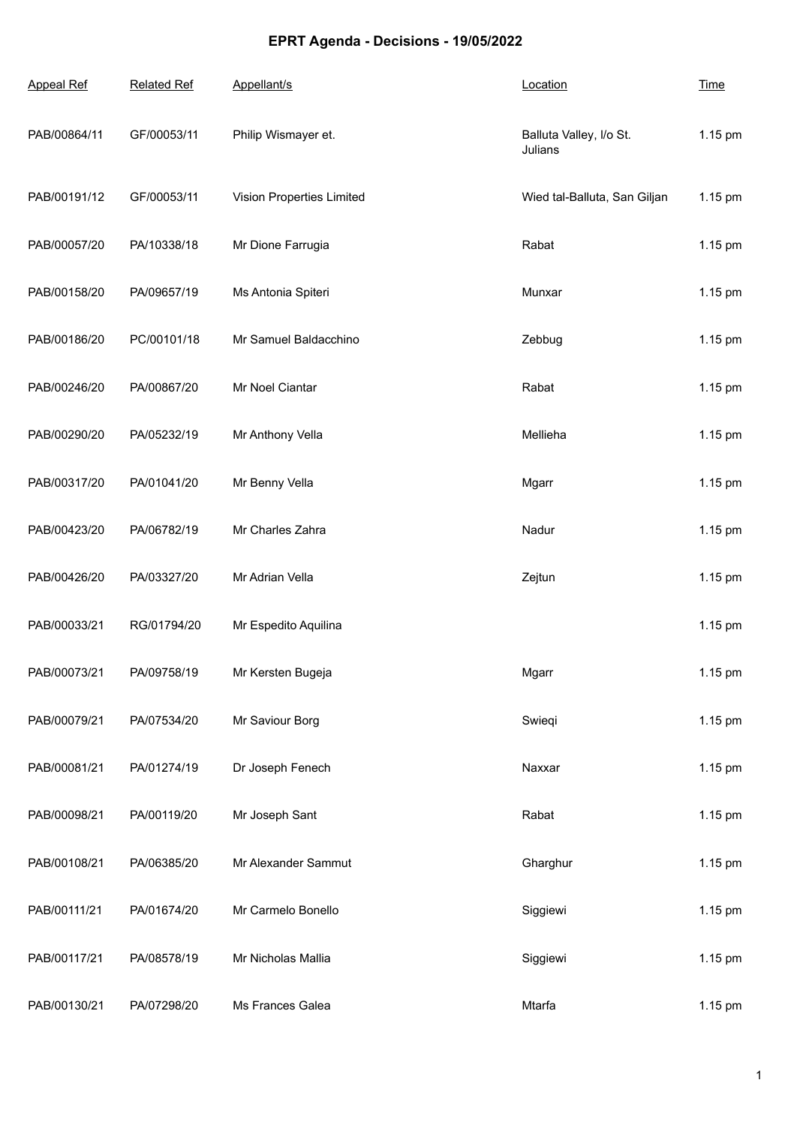## **EPRT Agenda - Decisions - 19/05/2022**

| <b>Appeal Ref</b> | <b>Related Ref</b> | Appellant/s               | Location                           | <b>Time</b> |
|-------------------|--------------------|---------------------------|------------------------------------|-------------|
| PAB/00864/11      | GF/00053/11        | Philip Wismayer et.       | Balluta Valley, I/o St.<br>Julians | 1.15 pm     |
| PAB/00191/12      | GF/00053/11        | Vision Properties Limited | Wied tal-Balluta, San Giljan       | 1.15 pm     |
| PAB/00057/20      | PA/10338/18        | Mr Dione Farrugia         | Rabat                              | 1.15 pm     |
| PAB/00158/20      | PA/09657/19        | Ms Antonia Spiteri        | Munxar                             | 1.15 pm     |
| PAB/00186/20      | PC/00101/18        | Mr Samuel Baldacchino     | Zebbug                             | 1.15 pm     |
| PAB/00246/20      | PA/00867/20        | Mr Noel Ciantar           | Rabat                              | 1.15 pm     |
| PAB/00290/20      | PA/05232/19        | Mr Anthony Vella          | Mellieha                           | 1.15 pm     |
| PAB/00317/20      | PA/01041/20        | Mr Benny Vella            | Mgarr                              | 1.15 pm     |
| PAB/00423/20      | PA/06782/19        | Mr Charles Zahra          | Nadur                              | 1.15 pm     |
| PAB/00426/20      | PA/03327/20        | Mr Adrian Vella           | Zejtun                             | 1.15 pm     |
| PAB/00033/21      | RG/01794/20        | Mr Espedito Aquilina      |                                    | 1.15 pm     |
| PAB/00073/21      | PA/09758/19        | Mr Kersten Bugeja         | Mgarr                              | 1.15 pm     |
| PAB/00079/21      | PA/07534/20        | Mr Saviour Borg           | Swieqi                             | 1.15 pm     |
| PAB/00081/21      | PA/01274/19        | Dr Joseph Fenech          | Naxxar                             | 1.15 pm     |
| PAB/00098/21      | PA/00119/20        | Mr Joseph Sant            | Rabat                              | 1.15 pm     |
| PAB/00108/21      | PA/06385/20        | Mr Alexander Sammut       | Gharghur                           | 1.15 pm     |
| PAB/00111/21      | PA/01674/20        | Mr Carmelo Bonello        | Siggiewi                           | 1.15 pm     |
| PAB/00117/21      | PA/08578/19        | Mr Nicholas Mallia        | Siggiewi                           | 1.15 pm     |
| PAB/00130/21      | PA/07298/20        | Ms Frances Galea          | Mtarfa                             | 1.15 pm     |